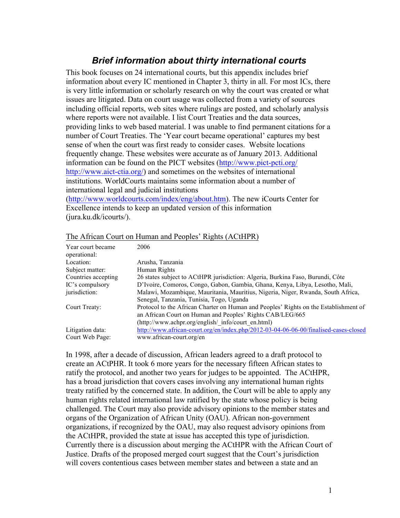# *Brief information about thirty international courts*

This book focuses on 24 international courts, but this appendix includes brief information about every IC mentioned in Chapter 3, thirty in all. For most ICs, there is very little information or scholarly research on why the court was created or what issues are litigated. Data on court usage was collected from a variety of sources including official reports, web sites where rulings are posted, and scholarly analysis where reports were not available. I list Court Treaties and the data sources, providing links to web based material. I was unable to find permanent citations for a number of Court Treaties. The 'Year court became operational' captures my best sense of when the court was first ready to consider cases. Website locations frequently change. These websites were accurate as of January 2013. Additional information can be found on the PICT websites (http://www.pict-pcti.org/ http://www.aict-ctia.org/) and sometimes on the websites of international institutions. WorldCourts maintains some information about a number of international legal and judicial institutions

(http://www.worldcourts.com/index/eng/about.htm). The new iCourts Center for Excellence intends to keep an updated version of this information (jura.ku.dk/icourts/).

| Year court became<br>operational: | 2006                                                                                 |
|-----------------------------------|--------------------------------------------------------------------------------------|
| Location:                         | Arusha, Tanzania                                                                     |
| Subject matter:                   | Human Rights                                                                         |
| Countries accepting               | 26 states subject to ACtHPR jurisdiction: Algeria, Burkina Faso, Burundi, Côte       |
| IC's compulsory                   | D'Ivoire, Comoros, Congo, Gabon, Gambia, Ghana, Kenya, Libya, Lesotho, Mali,         |
| jurisdiction:                     | Malawi, Mozambique, Mauritania, Mauritius, Nigeria, Niger, Rwanda, South Africa,     |
|                                   | Senegal, Tanzania, Tunisia, Togo, Uganda                                             |
| Court Treaty:                     | Protocol to the African Charter on Human and Peoples' Rights on the Establishment of |
|                                   | an African Court on Human and Peoples' Rights CAB/LEG/665                            |
|                                   | (http://www.achpr.org/english/ info/court en.html)                                   |
| Litigation data:                  | http://www.african-court.org/en/index.php/2012-03-04-06-06-00/finalised-cases-closed |
| Court Web Page:                   | www.african-court.org/en                                                             |

# The African Court on Human and Peoples' Rights (ACtHPR)

In 1998, after a decade of discussion, African leaders agreed to a draft protocol to create an ACtPHR. It took 6 more years for the necessary fifteen African states to ratify the protocol, and another two years for judges to be appointed. The ACtHPR, has a broad jurisdiction that covers cases involving any international human rights treaty ratified by the concerned state. In addition, the Court will be able to apply any human rights related international law ratified by the state whose policy is being challenged. The Court may also provide advisory opinions to the member states and organs of the Organization of African Unity (OAU). African non-government organizations, if recognized by the OAU, may also request advisory opinions from the ACtHPR, provided the state at issue has accepted this type of jurisdiction. Currently there is a discussion about merging the ACtHPR with the African Court of Justice. Drafts of the proposed merged court suggest that the Court's jurisdiction will covers contentious cases between member states and between a state and an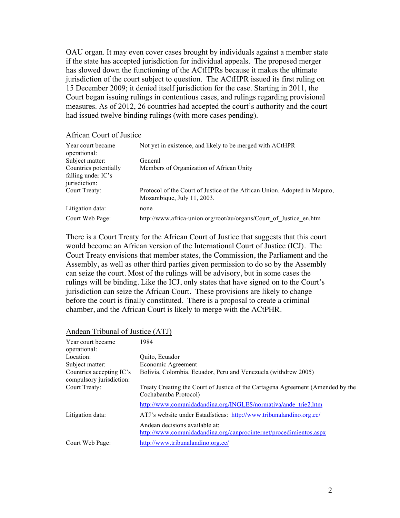OAU organ. It may even cover cases brought by individuals against a member state if the state has accepted jurisdiction for individual appeals. The proposed merger has slowed down the functioning of the ACtHPRs because it makes the ultimate jurisdiction of the court subject to question. The ACtHPR issued its first ruling on 15 December 2009; it denied itself jurisdiction for the case. Starting in 2011, the Court began issuing rulings in contentious cases, and rulings regarding provisional measures. As of 2012, 26 countries had accepted the court's authority and the court had issued twelve binding rulings (with more cases pending).

#### African Court of Justice

| Year court became<br>operational:                            | Not yet in existence, and likely to be merged with ACtHPR                                               |
|--------------------------------------------------------------|---------------------------------------------------------------------------------------------------------|
| Subject matter:                                              | General                                                                                                 |
| Countries potentially<br>falling under IC's<br>jurisdiction: | Members of Organization of African Unity                                                                |
| Court Treaty:                                                | Protocol of the Court of Justice of the African Union. Adopted in Maputo,<br>Mozambique, July 11, 2003. |
| Litigation data:                                             | none                                                                                                    |
| Court Web Page:                                              | http://www.africa-union.org/root/au/organs/Court of Justice en.htm                                      |

There is a Court Treaty for the African Court of Justice that suggests that this court would become an African version of the International Court of Justice (ICJ). The Court Treaty envisions that member states, the Commission, the Parliament and the Assembly, as well as other third parties given permission to do so by the Assembly can seize the court. Most of the rulings will be advisory, but in some cases the rulings will be binding. Like the ICJ, only states that have signed on to the Court's jurisdiction can seize the African Court. These provisions are likely to change before the court is finally constituted. There is a proposal to create a criminal chamber, and the African Court is likely to merge with the ACtPHR.

# Andean Tribunal of Justice (ATJ)

| Year court became<br>operational:                    | 1984                                                                                                    |
|------------------------------------------------------|---------------------------------------------------------------------------------------------------------|
| Location:                                            | Quito, Ecuador                                                                                          |
| Subject matter:                                      | Economic Agreement                                                                                      |
| Countries accepting IC's<br>compulsory jurisdiction: | Bolivia, Colombia, Ecuador, Peru and Venezuela (withdrew 2005)                                          |
| Court Treaty:                                        | Treaty Creating the Court of Justice of the Cartagena Agreement (Amended by the<br>Cochabamba Protocol) |
|                                                      | http://www.comunidadandina.org/INGLES/normativa/ande_trie2.htm                                          |
| Litigation data:                                     | ATJ's website under Estadísticas: http://www.tribunalandino.org.ec/                                     |
|                                                      | Andean decisions available at:<br>http://www.comunidadandina.org/canprocinternet/procedimientos.aspx    |
| Court Web Page:                                      | http://www.tribunalandino.org.ec/                                                                       |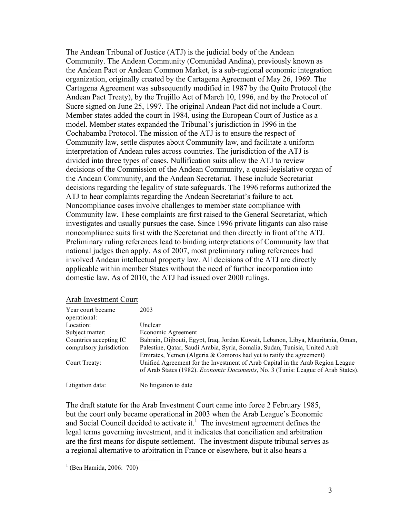The Andean Tribunal of Justice (ATJ) is the judicial body of the Andean Community. The Andean Community (Comunidad Andina), previously known as the Andean Pact or Andean Common Market, is a sub-regional economic integration organization, originally created by the Cartagena Agreement of May 26, 1969. The Cartagena Agreement was subsequently modified in 1987 by the Quito Protocol (the Andean Pact Treaty), by the Trujillo Act of March 10, 1996, and by the Protocol of Sucre signed on June 25, 1997. The original Andean Pact did not include a Court. Member states added the court in 1984, using the European Court of Justice as a model. Member states expanded the Tribunal's jurisdiction in 1996 in the Cochabamba Protocol. The mission of the ATJ is to ensure the respect of Community law, settle disputes about Community law, and facilitate a uniform interpretation of Andean rules across countries. The jurisdiction of the ATJ is divided into three types of cases. Nullification suits allow the ATJ to review decisions of the Commission of the Andean Community, a quasi-legislative organ of the Andean Community, and the Andean Secretariat. These include Secretariat decisions regarding the legality of state safeguards. The 1996 reforms authorized the ATJ to hear complaints regarding the Andean Secretariat's failure to act. Noncompliance cases involve challenges to member state compliance with Community law. These complaints are first raised to the General Secretariat, which investigates and usually pursues the case. Since 1996 private litigants can also raise noncompliance suits first with the Secretariat and then directly in front of the ATJ. Preliminary ruling references lead to binding interpretations of Community law that national judges then apply. As of 2007, most preliminary ruling references had involved Andean intellectual property law. All decisions of the ATJ are directly applicable within member States without the need of further incorporation into domestic law. As of 2010, the ATJ had issued over 2000 rulings.

|--|

| Year court became<br>operational: | 2003                                                                                                                                                                       |
|-----------------------------------|----------------------------------------------------------------------------------------------------------------------------------------------------------------------------|
| Location:                         | Unclear                                                                                                                                                                    |
| Subject matter:                   | Economic Agreement                                                                                                                                                         |
| Countries accepting IC            | Bahrain, Dijbouti, Egypt, Iraq, Jordan Kuwait, Lebanon, Libya, Mauritania, Oman,                                                                                           |
| compulsory jurisdiction:          | Palestine, Qatar, Saudi Arabia, Syria, Somalia, Sudan, Tunisia, United Arab<br>Emirates, Yemen (Algeria & Comoros had yet to ratify the agreement)                         |
| Court Treaty:                     | Unified Agreement for the Investment of Arab Capital in the Arab Region League<br>of Arab States (1982). <i>Economic Documents</i> , No. 3 (Tunis: League of Arab States). |
| Litigation data:                  | No litigation to date                                                                                                                                                      |

The draft statute for the Arab Investment Court came into force 2 February 1985, but the court only became operational in 2003 when the Arab League's Economic and Social Council decided to activate it.<sup>1</sup> The investment agreement defines the legal terms governing investment, and it indicates that conciliation and arbitration are the first means for dispute settlement. The investment dispute tribunal serves as a regional alternative to arbitration in France or elsewhere, but it also hears a

 <sup>1</sup> (Ben Hamida, 2006: 700)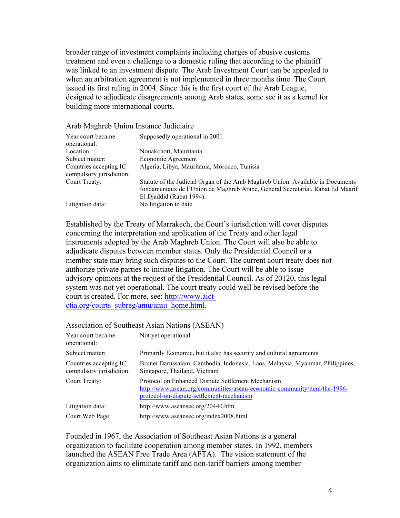broader range of investment complaints including charges of abusive customs treatment and even a challenge to a domestic ruling that according to the plaintiff was linked to an investment dispute. The Arab Investment Court can be appealed to when an arbitration agreement is not implemented in three months time. The Court issued its first ruling in 2004. Since this is the first court of the Arab League, designed to adjudicate disagreements among Arab states, some see it as a kernel for building more international courts.

| Year court became<br>operational:                  | Supposedly operational in 2001                                                                                                                                                                |
|----------------------------------------------------|-----------------------------------------------------------------------------------------------------------------------------------------------------------------------------------------------|
| Location:                                          | Nouakchott, Mauritania                                                                                                                                                                        |
| Subject matter:                                    | Economic Agreement                                                                                                                                                                            |
| Countries accepting IC<br>compulsory jurisdiction: | Algeria, Libya, Mauritania, Morocco, Tunisia                                                                                                                                                  |
| Court Treaty:                                      | Statute of the Judicial Organ of the Arab Maghreb Union. Available in Documents<br>fondamentaux de l'Union de Maghreb Arabe, General Secretariat, Rabat Ed Maarif<br>El Djaddid (Rabat 1994). |
| Litigation data:                                   | No litigation to date                                                                                                                                                                         |

#### Arab Maghreb Union Instance Judiciaire

Established by the Treaty of Marrakech, the Court's jurisdiction will cover disputes concerning the interpretation and application of the Treaty and other legal instruments adopted by the Arab Maghreb Union. The Court will also be able to adjudicate disputes between member states. Only the Presidential Council or a member state may bring such disputes to the Court. The current court treaty does not authorize private parties to initiate litigation. The Court will be able to issue advisory opinions at the request of the Presidential Council. As of 20120, this legal system was not yet operational. The court treaty could well be revised before the court is created. For more, see: http://www.aictctia.org/courts\_subreg/amu/amu\_home.html.

#### Association of Southeast Asian Nations (ASEAN)

| Year court became<br>operational:                  | Not yet operational                                                                                                                                                        |
|----------------------------------------------------|----------------------------------------------------------------------------------------------------------------------------------------------------------------------------|
| Subject matter:                                    | Primarily Economic, but it also has security and cultural agreements                                                                                                       |
| Countries accepting IC<br>compulsory jurisdiction: | Brunei Darussalam, Cambodia, Indonesia, Laos, Malaysia, Myanmar, Philippines,<br>Singapore, Thailand, Vietnam                                                              |
| Court Treaty:                                      | Protocol on Enhanced Dispute Settlement Mechanism:<br>http://www.asean.org/communities/asean-economic-community/item/the-1996-<br>protocol-on-dispute-settlement-mechanism |
| Litigation data:                                   | http://www.aseansec.org/20440.htm                                                                                                                                          |
| Court Web Page:                                    | http://www.aseansec.org/index2008.html                                                                                                                                     |

Founded in 1967, the Association of Southeast Asian Nations is a general organization to facilitate cooperation among member states. In 1992, members launched the ASEAN Free Trade Area (AFTA). The vision statement of the organization aims to eliminate tariff and non-tariff barriers among member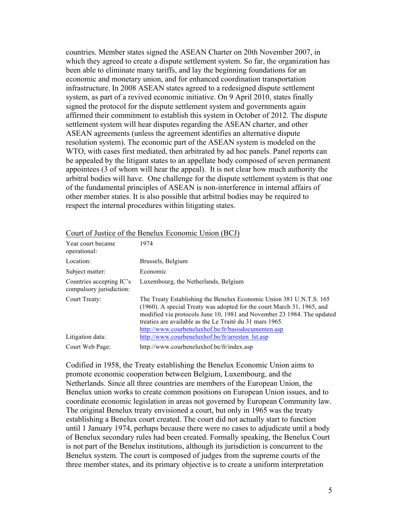countries. Member states signed the ASEAN Charter on 20th November 2007, in which they agreed to create a dispute settlement system. So far, the organization has been able to eliminate many tariffs, and lay the beginning foundations for an economic and monetary union, and for enhanced coordination transportation infrastructure. In 2008 ASEAN states agreed to a redesigned dispute settlement system, as part of a revived economic initiative. On 9 April 2010, states finally signed the protocol for the dispute settlement system and governments again affirmed their commitment to establish this system in October of 2012. The dispute settlement system will hear disputes regarding the ASEAN charter, and other ASEAN agreements (unless the agreement identifies an alternative dispute resolution system). The economic part of the ASEAN system is modeled on the WTO, with cases first mediated, then arbitrated by ad hoc panels. Panel reports can be appealed by the litigant states to an appellate body composed of seven permanent appointees (3 of whom will hear the appeal). It is not clear how much authority the arbitral bodies will have. One challenge for the dispute settlement system is that one of the fundamental principles of ASEAN is non-interference in internal affairs of other member states. It is also possible that arbitral bodies may be required to respect the internal procedures within litigating states.

| Year court became<br>operational:                    | 1974                                                                                                                                                                                                                                                                                                                                       |
|------------------------------------------------------|--------------------------------------------------------------------------------------------------------------------------------------------------------------------------------------------------------------------------------------------------------------------------------------------------------------------------------------------|
| Location:                                            | Brussels, Belgium                                                                                                                                                                                                                                                                                                                          |
| Subject matter:                                      | Economic                                                                                                                                                                                                                                                                                                                                   |
| Countries accepting IC's<br>compulsory jurisdiction: | Luxembourg, the Netherlands, Belgium                                                                                                                                                                                                                                                                                                       |
| Court Treaty:                                        | The Treaty Establishing the Benelux Economic Union 381 U.N.T.S. 165<br>(1960). A special Treaty was adopted for the court March 31, 1965, and<br>modified via protocols June 10, 1981 and November 23 1984. The updated<br>treaties are available as the Le Traité du 31 mars 1965.<br>http://www.courbeneluxhof.be/fr/basisdocumenten.asp |
| Litigation data:                                     | http://www.courbeneluxhof.be/fr/arresten lst.asp                                                                                                                                                                                                                                                                                           |
| Court Web Page:                                      | http://www.courbeneluxhof.be/fr/index.asp                                                                                                                                                                                                                                                                                                  |

#### Court of Justice of the Benelux Economic Union (BCJ)

Codified in 1958, the Treaty establishing the Benelux Economic Union aims to promote economic cooperation between Belgium, Luxembourg, and the Netherlands. Since all three countries are members of the European Union, the Benelux union works to create common positions on European Union issues, and to coordinate economic legislation in areas not governed by European Community law. The original Benelux treaty envisioned a court, but only in 1965 was the treaty establishing a Benelux court created. The court did not actually start to function until 1 January 1974, perhaps because there were no cases to adjudicate until a body of Benelux secondary rules had been created. Formally speaking, the Benelux Court is not part of the Benelux institutions, although its jurisdiction is concurrent to the Benelux system. The court is composed of judges from the supreme courts of the three member states, and its primary objective is to create a uniform interpretation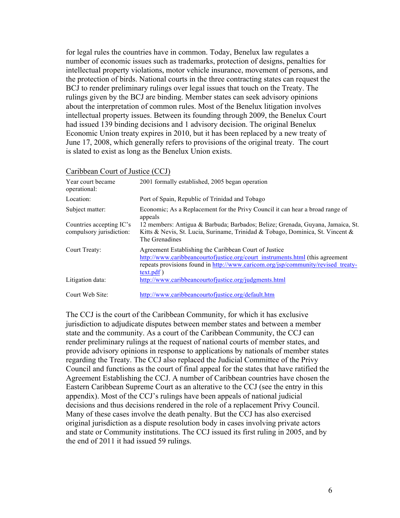for legal rules the countries have in common. Today, Benelux law regulates a number of economic issues such as trademarks, protection of designs, penalties for intellectual property violations, motor vehicle insurance, movement of persons, and the protection of birds. National courts in the three contracting states can request the BCJ to render preliminary rulings over legal issues that touch on the Treaty. The rulings given by the BCJ are binding. Member states can seek advisory opinions about the interpretation of common rules. Most of the Benelux litigation involves intellectual property issues. Between its founding through 2009, the Benelux Court had issued 139 binding decisions and 1 advisory decision. The original Benelux Economic Union treaty expires in 2010, but it has been replaced by a new treaty of June 17, 2008, which generally refers to provisions of the original treaty. The court is slated to exist as long as the Benelux Union exists.

| Caribbean Court of Justice (CCJ) |
|----------------------------------|
|----------------------------------|

| Year court became<br>operational:                    | 2001 formally established, 2005 began operation                                                                                                                                                                                            |
|------------------------------------------------------|--------------------------------------------------------------------------------------------------------------------------------------------------------------------------------------------------------------------------------------------|
| Location:                                            | Port of Spain, Republic of Trinidad and Tobago                                                                                                                                                                                             |
| Subject matter:                                      | Economic; As a Replacement for the Privy Council it can hear a broad range of<br>appeals                                                                                                                                                   |
| Countries accepting IC's<br>compulsory jurisdiction: | 12 members: Antigua & Barbuda; Barbados; Belize; Grenada, Guyana, Jamaica, St.<br>Kitts & Nevis, St. Lucia, Suriname, Trinidad & Tobago, Dominica, St. Vincent &<br>The Grenadines                                                         |
| Court Treaty:                                        | Agreement Establishing the Caribbean Court of Justice<br>http://www.caribbeancourtofjustice.org/court_instruments.html (this agreement<br>repeats provisions found in http://www.caricom.org/jsp/community/revised treaty-<br>$text.pdf$ ) |
| Litigation data:                                     | http://www.caribbeancourtofjustice.org/judgments.html                                                                                                                                                                                      |
| Court Web Site:                                      | http://www.caribbeancourtofjustice.org/default.htm                                                                                                                                                                                         |

The CCJ is the court of the Caribbean Community, for which it has exclusive jurisdiction to adjudicate disputes between member states and between a member state and the community. As a court of the Caribbean Community, the CCJ can render preliminary rulings at the request of national courts of member states, and provide advisory opinions in response to applications by nationals of member states regarding the Treaty. The CCJ also replaced the Judicial Committee of the Privy Council and functions as the court of final appeal for the states that have ratified the Agreement Establishing the CCJ. A number of Caribbean countries have chosen the Eastern Caribbean Supreme Court as an alterative to the CCJ (see the entry in this appendix). Most of the CCJ's rulings have been appeals of national judicial decisions and thus decisions rendered in the role of a replacement Privy Council. Many of these cases involve the death penalty. But the CCJ has also exercised original jurisdiction as a dispute resolution body in cases involving private actors and state or Community institutions. The CCJ issued its first ruling in 2005, and by the end of 2011 it had issued 59 rulings.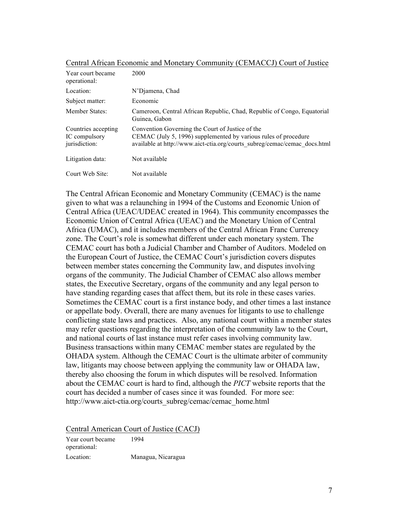| Year court became<br>operational:                     | 2000                                                                                                                                                                                             |
|-------------------------------------------------------|--------------------------------------------------------------------------------------------------------------------------------------------------------------------------------------------------|
| Location:                                             | N'Djamena, Chad                                                                                                                                                                                  |
| Subject matter:                                       | Economic                                                                                                                                                                                         |
| Member States:                                        | Cameroon, Central African Republic, Chad, Republic of Congo, Equatorial<br>Guinea, Gabon                                                                                                         |
| Countries accepting<br>IC compulsory<br>jurisdiction: | Convention Governing the Court of Justice of the<br>CEMAC (July 5, 1996) supplemented by various rules of procedure<br>available at http://www.aict-ctia.org/courts_subreg/cemac/cemac_docs.html |
| Litigation data:                                      | Not available                                                                                                                                                                                    |
| Court Web Site:                                       | Not available                                                                                                                                                                                    |

The Central African Economic and Monetary Community (CEMAC) is the name given to what was a relaunching in 1994 of the Customs and Economic Union of Central Africa (UEAC/UDEAC created in 1964). This community encompasses the Economic Union of Central Africa (UEAC) and the Monetary Union of Central Africa (UMAC), and it includes members of the Central African Franc Currency zone. The Court's role is somewhat different under each monetary system. The CEMAC court has both a Judicial Chamber and Chamber of Auditors. Modeled on the European Court of Justice, the CEMAC Court's jurisdiction covers disputes between member states concerning the Community law, and disputes involving organs of the community. The Judicial Chamber of CEMAC also allows member states, the Executive Secretary, organs of the community and any legal person to have standing regarding cases that affect them, but its role in these cases varies. Sometimes the CEMAC court is a first instance body, and other times a last instance or appellate body. Overall, there are many avenues for litigants to use to challenge conflicting state laws and practices. Also, any national court within a member states may refer questions regarding the interpretation of the community law to the Court, and national courts of last instance must refer cases involving community law. Business transactions within many CEMAC member states are regulated by the OHADA system. Although the CEMAC Court is the ultimate arbiter of community law, litigants may choose between applying the community law or OHADA law, thereby also choosing the forum in which disputes will be resolved. Information about the CEMAC court is hard to find, although the *PICT* website reports that the court has decided a number of cases since it was founded. For more see: http://www.aict-ctia.org/courts\_subreg/cemac/cemac\_home.html

Central American Court of Justice (CACJ)

Year court became operational: 1994 Location: Managua, Nicaragua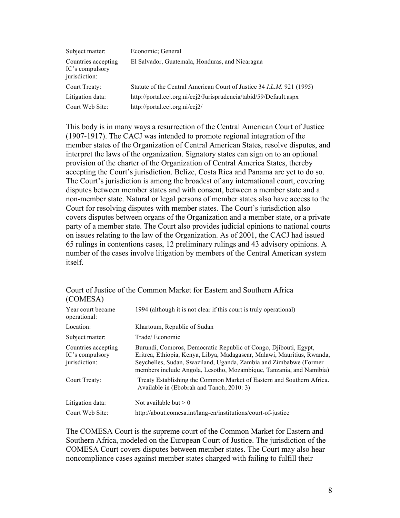| Subject matter:                                         | Economic; General                                                            |
|---------------------------------------------------------|------------------------------------------------------------------------------|
| Countries accepting<br>IC's compulsory<br>jurisdiction: | El Salvador, Guatemala, Honduras, and Nicaragua                              |
| Court Treaty:                                           | Statute of the Central American Court of Justice 34 <i>I.L.M.</i> 921 (1995) |
| Litigation data:                                        | http://portal.ccj.org.ni/ccj2/Jurisprudencia/tabid/59/Default.aspx           |
| Court Web Site:                                         | http://portal.ccj.org.ni/ccj2/                                               |

This body is in many ways a resurrection of the Central American Court of Justice (1907-1917). The CACJ was intended to promote regional integration of the member states of the Organization of Central American States, resolve disputes, and interpret the laws of the organization. Signatory states can sign on to an optional provision of the charter of the Organization of Central America States, thereby accepting the Court's jurisdiction. Belize, Costa Rica and Panama are yet to do so. The Court's jurisdiction is among the broadest of any international court, covering disputes between member states and with consent, between a member state and a non-member state. Natural or legal persons of member states also have access to the Court for resolving disputes with member states. The Court's jurisdiction also covers disputes between organs of the Organization and a member state, or a private party of a member state. The Court also provides judicial opinions to national courts on issues relating to the law of the Organization. As of 2001, the CACJ had issued 65 rulings in contentions cases, 12 preliminary rulings and 43 advisory opinions. A number of the cases involve litigation by members of the Central American system itself.

| (COMESA)                                                |                                                                                                                                                                                                                                                                                         |
|---------------------------------------------------------|-----------------------------------------------------------------------------------------------------------------------------------------------------------------------------------------------------------------------------------------------------------------------------------------|
| Year court became<br>operational:                       | 1994 (although it is not clear if this court is truly operational)                                                                                                                                                                                                                      |
| Location:                                               | Khartoum, Republic of Sudan                                                                                                                                                                                                                                                             |
| Subject matter:                                         | Trade/Economic                                                                                                                                                                                                                                                                          |
| Countries accepting<br>IC's compulsory<br>jurisdiction: | Burundi, Comoros, Democratic Republic of Congo, Djibouti, Egypt,<br>Eritrea, Ethiopia, Kenya, Libya, Madagascar, Malawi, Mauritius, Rwanda,<br>Seychelles, Sudan, Swaziland, Uganda, Zambia and Zimbabwe (Former<br>members include Angola, Lesotho, Mozambique, Tanzania, and Namibia) |
| Court Treaty:                                           | Treaty Establishing the Common Market of Eastern and Southern Africa.<br>Available in (Ebobrah and Tanoh, 2010: 3)                                                                                                                                                                      |
| Litigation data:                                        | Not available but $> 0$                                                                                                                                                                                                                                                                 |
| Court Web Site:                                         | http://about.comesa.int/lang-en/institutions/court-of-justice                                                                                                                                                                                                                           |

# Court of Justice of the Common Market for Eastern and Southern Africa

The COMESA Court is the supreme court of the Common Market for Eastern and Southern Africa, modeled on the European Court of Justice. The jurisdiction of the COMESA Court covers disputes between member states. The Court may also hear noncompliance cases against member states charged with failing to fulfill their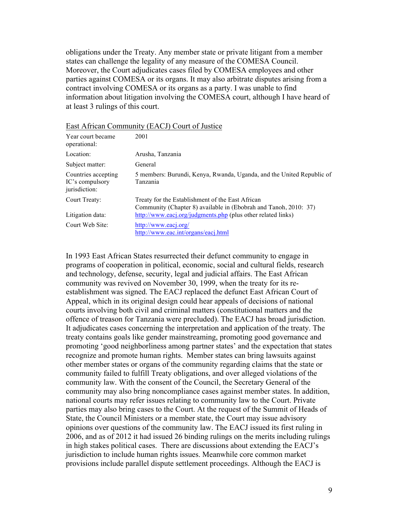obligations under the Treaty. Any member state or private litigant from a member states can challenge the legality of any measure of the COMESA Council. Moreover, the Court adjudicates cases filed by COMESA employees and other parties against COMESA or its organs. It may also arbitrate disputes arising from a contract involving COMESA or its organs as a party. I was unable to find information about litigation involving the COMESA court, although I have heard of at least 3 rulings of this court.

| Year court became<br>operational:                       | 2001                                                                                                                 |
|---------------------------------------------------------|----------------------------------------------------------------------------------------------------------------------|
| Location:                                               | Arusha, Tanzania                                                                                                     |
| Subject matter:                                         | General                                                                                                              |
| Countries accepting<br>IC's compulsory<br>jurisdiction: | 5 members: Burundi, Kenya, Rwanda, Uganda, and the United Republic of<br>Tanzania                                    |
| Court Treaty:                                           | Treaty for the Establishment of the East African<br>Community (Chapter 8) available in (Ebobrah and Tanoh, 2010: 37) |
| Litigation data:                                        | http://www.eacj.org/judgments.php (plus other related links)                                                         |
| Court Web Site:                                         | http://www.eacj.org/<br>http://www.eac.int/organs/eacj.html                                                          |

East African Community (EACJ) Court of Justice

In 1993 East African States resurrected their defunct community to engage in programs of cooperation in political, economic, social and cultural fields, research and technology, defense, security, legal and judicial affairs. The East African community was revived on November 30, 1999, when the treaty for its reestablishment was signed. The EACJ replaced the defunct East African Court of Appeal, which in its original design could hear appeals of decisions of national courts involving both civil and criminal matters (constitutional matters and the offence of treason for Tanzania were precluded). The EACJ has broad jurisdiction. It adjudicates cases concerning the interpretation and application of the treaty. The treaty contains goals like gender mainstreaming, promoting good governance and promoting 'good neighborliness among partner states' and the expectation that states recognize and promote human rights. Member states can bring lawsuits against other member states or organs of the community regarding claims that the state or community failed to fulfill Treaty obligations, and over alleged violations of the community law. With the consent of the Council, the Secretary General of the community may also bring noncompliance cases against member states. In addition, national courts may refer issues relating to community law to the Court. Private parties may also bring cases to the Court. At the request of the Summit of Heads of State, the Council Ministers or a member state, the Court may issue advisory opinions over questions of the community law. The EACJ issued its first ruling in 2006, and as of 2012 it had issued 26 binding rulings on the merits including rulings in high stakes political cases. There are discussions about extending the EACJ's jurisdiction to include human rights issues. Meanwhile core common market provisions include parallel dispute settlement proceedings. Although the EACJ is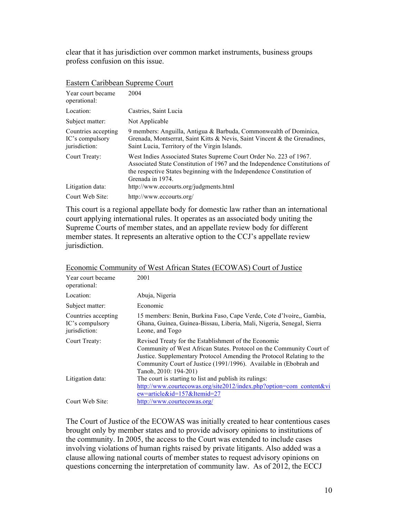clear that it has jurisdiction over common market instruments, business groups profess confusion on this issue.

| Year court became<br>operational:                       | 2004                                                                                                                                                                                                                                           |
|---------------------------------------------------------|------------------------------------------------------------------------------------------------------------------------------------------------------------------------------------------------------------------------------------------------|
| Location:                                               | Castries, Saint Lucia                                                                                                                                                                                                                          |
| Subject matter:                                         | Not Applicable                                                                                                                                                                                                                                 |
| Countries accepting<br>IC's compulsory<br>jurisdiction: | 9 members: Anguilla, Antigua & Barbuda, Commonwealth of Dominica,<br>Grenada, Montserrat, Saint Kitts & Nevis, Saint Vincent & the Grenadines,<br>Saint Lucia, Territory of the Virgin Islands.                                                |
| Court Treaty:                                           | West Indies Associated States Supreme Court Order No. 223 of 1967.<br>Associated State Constitution of 1967 and the Independence Constitutions of<br>the respective States beginning with the Independence Constitution of<br>Grenada in 1974. |
| Litigation data:                                        | http://www.eccourts.org/judgments.html                                                                                                                                                                                                         |
| Court Web Site:                                         | http://www.eccourts.org/                                                                                                                                                                                                                       |

#### Eastern Caribbean Supreme Court

This court is a regional appellate body for domestic law rather than an international court applying international rules. It operates as an associated body uniting the Supreme Courts of member states, and an appellate review body for different member states. It represents an alterative option to the CCJ's appellate review jurisdiction.

| Year court became<br>operational:                       | 2001                                                                                                                                                                                                                                                                                                |
|---------------------------------------------------------|-----------------------------------------------------------------------------------------------------------------------------------------------------------------------------------------------------------------------------------------------------------------------------------------------------|
| Location:                                               | Abuja, Nigeria                                                                                                                                                                                                                                                                                      |
| Subject matter:                                         | Economic                                                                                                                                                                                                                                                                                            |
| Countries accepting<br>IC's compulsory<br>jurisdiction: | 15 members: Benin, Burkina Faso, Cape Verde, Cote d'Ivoire,, Gambia,<br>Ghana, Guinea, Guinea-Bissau, Liberia, Mali, Nigeria, Senegal, Sierra<br>Leone, and Togo                                                                                                                                    |
| Court Treaty:                                           | Revised Treaty for the Establishment of the Economic<br>Community of West African States. Protocol on the Community Court of<br>Justice. Supplementary Protocol Amending the Protocol Relating to the<br>Community Court of Justice (1991/1996). Available in (Ebobrah and<br>Tanoh, 2010: 194-201) |
| Litigation data:                                        | The court is starting to list and publish its rulings:<br>http://www.courtecowas.org/site2012/index.php?option=com_content&vi<br>$ew = article\&id = 157\&Itemid = 27$                                                                                                                              |
| Court Web Site:                                         | http://www.courtecowas.org/                                                                                                                                                                                                                                                                         |

# Economic Community of West African States (ECOWAS) Court of Justice

The Court of Justice of the ECOWAS was initially created to hear contentious cases brought only by member states and to provide advisory opinions to institutions of the community. In 2005, the access to the Court was extended to include cases involving violations of human rights raised by private litigants. Also added was a clause allowing national courts of member states to request advisory opinions on questions concerning the interpretation of community law. As of 2012, the ECCJ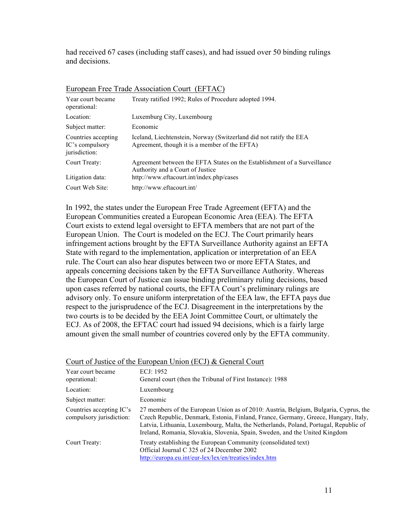had received 67 cases (including staff cases), and had issued over 50 binding rulings and decisions.

| Year court became<br>operational:                       | Treaty ratified 1992; Rules of Procedure adopted 1994.                                                              |
|---------------------------------------------------------|---------------------------------------------------------------------------------------------------------------------|
| Location:                                               | Luxemburg City, Luxembourg                                                                                          |
| Subject matter:                                         | Economic                                                                                                            |
| Countries accepting<br>IC's compulsory<br>jurisdiction: | Iceland, Liechtenstein, Norway (Switzerland did not ratify the EEA<br>Agreement, though it is a member of the EFTA) |
| Court Treaty:                                           | Agreement between the EFTA States on the Establishment of a Surveillance<br>Authority and a Court of Justice        |
| Litigation data:                                        | http://www.eftacourt.int/index.php/cases                                                                            |
| Court Web Site:                                         | http://www.eftacourt.int/                                                                                           |

# European Free Trade Association Court (EFTAC)

In 1992, the states under the European Free Trade Agreement (EFTA) and the European Communities created a European Economic Area (EEA). The EFTA Court exists to extend legal oversight to EFTA members that are not part of the European Union. The Court is modeled on the ECJ. The Court primarily hears infringement actions brought by the EFTA Surveillance Authority against an EFTA State with regard to the implementation, application or interpretation of an EEA rule. The Court can also hear disputes between two or more EFTA States, and appeals concerning decisions taken by the EFTA Surveillance Authority. Whereas the European Court of Justice can issue binding preliminary ruling decisions, based upon cases referred by national courts, the EFTA Court's preliminary rulings are advisory only. To ensure uniform interpretation of the EEA law, the EFTA pays due respect to the jurisprudence of the ECJ. Disagreement in the interpretations by the two courts is to be decided by the EEA Joint Committee Court, or ultimately the ECJ. As of 2008, the EFTAC court had issued 94 decisions, which is a fairly large amount given the small number of countries covered only by the EFTA community.

|                                                      | Court of Justice of the European Omon (ECJ) & Ocheral Court                                                                                                                                                                                                                                                                                        |
|------------------------------------------------------|----------------------------------------------------------------------------------------------------------------------------------------------------------------------------------------------------------------------------------------------------------------------------------------------------------------------------------------------------|
| Year court became<br>operational:                    | ECJ: 1952<br>General court (then the Tribunal of First Instance): 1988                                                                                                                                                                                                                                                                             |
| Location:                                            | Luxembourg                                                                                                                                                                                                                                                                                                                                         |
| Subject matter:                                      | Economic                                                                                                                                                                                                                                                                                                                                           |
| Countries accepting IC's<br>compulsory jurisdiction: | 27 members of the European Union as of 2010: Austria, Belgium, Bulgaria, Cyprus, the<br>Czech Republic, Denmark, Estonia, Finland, France, Germany, Greece, Hungary, Italy,<br>Latvia, Lithuania, Luxembourg, Malta, the Netherlands, Poland, Portugal, Republic of<br>Ireland, Romania, Slovakia, Slovenia, Spain, Sweden, and the United Kingdom |
| Court Treaty:                                        | Treaty establishing the European Community (consolidated text)<br>Official Journal C 325 of 24 December 2002<br>http://europa.eu.int/eur-lex/lex/en/treaties/index.htm                                                                                                                                                                             |

# Court of Justice of the European Union (ECJ) & General Court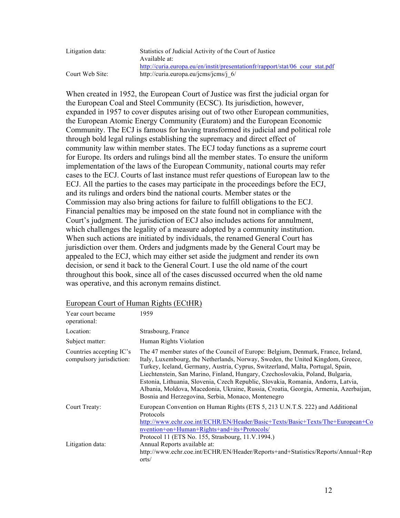| Litigation data: | Statistics of Judicial Activity of the Court of Justice                       |
|------------------|-------------------------------------------------------------------------------|
|                  | Available at:                                                                 |
|                  | http://curia.europa.eu/en/instit/presentationfr/rapport/stat/06 cour stat.pdf |
| Court Web Site:  | http://curia.europa.eu/jcms/jcms/j $6/$                                       |

When created in 1952, the European Court of Justice was first the judicial organ for the European Coal and Steel Community (ECSC). Its jurisdiction, however, expanded in 1957 to cover disputes arising out of two other European communities, the European Atomic Energy Community (Euratom) and the European Economic Community. The ECJ is famous for having transformed its judicial and political role through bold legal rulings establishing the supremacy and direct effect of community law within member states. The ECJ today functions as a supreme court for Europe. Its orders and rulings bind all the member states. To ensure the uniform implementation of the laws of the European Community, national courts may refer cases to the ECJ. Courts of last instance must refer questions of European law to the ECJ. All the parties to the cases may participate in the proceedings before the ECJ, and its rulings and orders bind the national courts. Member states or the Commission may also bring actions for failure to fulfill obligations to the ECJ. Financial penalties may be imposed on the state found not in compliance with the Court's judgment. The jurisdiction of ECJ also includes actions for annulment, which challenges the legality of a measure adopted by a community institution. When such actions are initiated by individuals, the renamed General Court has jurisdiction over them. Orders and judgments made by the General Court may be appealed to the ECJ, which may either set aside the judgment and render its own decision, or send it back to the General Court. I use the old name of the court throughout this book, since all of the cases discussed occurred when the old name was operative, and this acronym remains distinct.

#### European Court of Human Rights (ECtHR)

| Year court became<br>operational:                    | 1959                                                                                                                                                                                                                                                                                                                                                                                                                                                                                                                                                                         |
|------------------------------------------------------|------------------------------------------------------------------------------------------------------------------------------------------------------------------------------------------------------------------------------------------------------------------------------------------------------------------------------------------------------------------------------------------------------------------------------------------------------------------------------------------------------------------------------------------------------------------------------|
| Location:                                            | Strasbourg, France                                                                                                                                                                                                                                                                                                                                                                                                                                                                                                                                                           |
| Subject matter:                                      | Human Rights Violation                                                                                                                                                                                                                                                                                                                                                                                                                                                                                                                                                       |
| Countries accepting IC's<br>compulsory jurisdiction: | The 47 member states of the Council of Europe: Belgium, Denmark, France, Ireland,<br>Italy, Luxembourg, the Netherlands, Norway, Sweden, the United Kingdom, Greece,<br>Turkey, Iceland, Germany, Austria, Cyprus, Switzerland, Malta, Portugal, Spain,<br>Liechtenstein, San Marino, Finland, Hungary, Czechoslovakia, Poland, Bulgaria,<br>Estonia, Lithuania, Slovenia, Czech Republic, Slovakia, Romania, Andorra, Latvia,<br>Albania, Moldova, Macedonia, Ukraine, Russia, Croatia, Georgia, Armenia, Azerbaijan,<br>Bosnia and Herzegovina, Serbia, Monaco, Montenegro |
| Court Treaty:                                        | European Convention on Human Rights (ETS 5, 213 U.N.T.S. 222) and Additional<br>Protocols<br>http://www.echr.coe.int/ECHR/EN/Header/Basic+Texts/Basic+Texts/The+European+Co<br>nvention+on+Human+Rights+and+its+Protocols/<br>Protocol 11 (ETS No. 155, Strasbourg, 11.V.1994.)                                                                                                                                                                                                                                                                                              |
| Litigation data:                                     | Annual Reports available at:<br>http://www.echr.coe.int/ECHR/EN/Header/Reports+and+Statistics/Reports/Annual+Rep<br>orts/                                                                                                                                                                                                                                                                                                                                                                                                                                                    |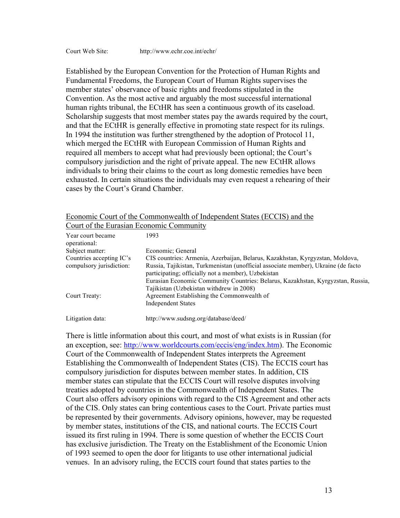Established by the European Convention for the Protection of Human Rights and Fundamental Freedoms, the European Court of Human Rights supervises the member states' observance of basic rights and freedoms stipulated in the Convention. As the most active and arguably the most successful international human rights tribunal, the ECtHR has seen a continuous growth of its caseload. Scholarship suggests that most member states pay the awards required by the court, and that the ECtHR is generally effective in promoting state respect for its rulings. In 1994 the institution was further strengthened by the adoption of Protocol 11, which merged the ECtHR with European Commission of Human Rights and required all members to accept what had previously been optional; the Court's compulsory jurisdiction and the right of private appeal. The new ECtHR allows individuals to bring their claims to the court as long domestic remedies have been exhausted. In certain situations the individuals may even request a rehearing of their cases by the Court's Grand Chamber.

| Economic Court of the Commonwealth of Independent States (ECCIS) and the |  |
|--------------------------------------------------------------------------|--|
| Court of the Eurasian Economic Community                                 |  |

| Year court became<br>operational:                    | 1993                                                                                                                                                                                                                      |
|------------------------------------------------------|---------------------------------------------------------------------------------------------------------------------------------------------------------------------------------------------------------------------------|
| Subject matter:                                      | Economic: General                                                                                                                                                                                                         |
| Countries accepting IC's<br>compulsory jurisdiction: | CIS countries: Armenia, Azerbaijan, Belarus, Kazakhstan, Kyrgyzstan, Moldova,<br>Russia, Tajikistan, Turkmenistan (unofficial associate member), Ukraine (de facto<br>participating; officially not a member), Uzbekistan |
| Court Treaty:                                        | Eurasian Economic Community Countries: Belarus, Kazakhstan, Kyrgyzstan, Russia,<br>Tajikistan (Uzbekistan withdrew in 2008)<br>Agreement Establishing the Commonwealth of<br><b>Independent States</b>                    |
| Litigation data:                                     | http://www.sudsng.org/database/deed/                                                                                                                                                                                      |

There is little information about this court, and most of what exists is in Russian (for an exception, see: http://www.worldcourts.com/eccis/eng/index.htm). The Economic Court of the Commonwealth of Independent States interprets the Agreement Establishing the Commonwealth of Independent States (CIS). The ECCIS court has compulsory jurisdiction for disputes between member states. In addition, CIS member states can stipulate that the ECCIS Court will resolve disputes involving treaties adopted by countries in the Commonwealth of Independent States. The Court also offers advisory opinions with regard to the CIS Agreement and other acts of the CIS. Only states can bring contentious cases to the Court. Private parties must be represented by their governments. Advisory opinions, however, may be requested by member states, institutions of the CIS, and national courts. The ECCIS Court issued its first ruling in 1994. There is some question of whether the ECCIS Court has exclusive jurisdiction. The Treaty on the Establishment of the Economic Union of 1993 seemed to open the door for litigants to use other international judicial venues. In an advisory ruling, the ECCIS court found that states parties to the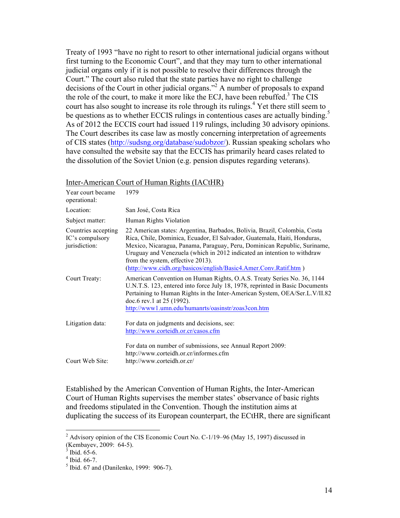Treaty of 1993 "have no right to resort to other international judicial organs without first turning to the Economic Court", and that they may turn to other international judicial organs only if it is not possible to resolve their differences through the Court." The court also ruled that the state parties have no right to challenge decisions of the Court in other judicial organs."<sup>2</sup> A number of proposals to expand the role of the court, to make it more like the ECJ, have been rebuffed.<sup>3</sup> The CIS court has also sought to increase its role through its rulings.<sup>4</sup> Yet there still seem to be questions as to whether ECCIS rulings in contentious cases are actually binding.<sup>5</sup> As of 2012 the ECCIS court had issued 119 rulings, including 30 advisory opinions. The Court describes its case law as mostly concerning interpretation of agreements of CIS states (http://sudsng.org/database/sudobzor/). Russian speaking scholars who have consulted the website say that the ECCIS has primarily heard cases related to the dissolution of the Soviet Union (e.g. pension disputes regarding veterans).

| Inter-American Court of Human Rights (IACtHR) |  |  |
|-----------------------------------------------|--|--|
|                                               |  |  |

| Year court became<br>operational:                       | 1979                                                                                                                                                                                                                                                                                                                                                                                                                  |
|---------------------------------------------------------|-----------------------------------------------------------------------------------------------------------------------------------------------------------------------------------------------------------------------------------------------------------------------------------------------------------------------------------------------------------------------------------------------------------------------|
| Location:                                               | San José, Costa Rica                                                                                                                                                                                                                                                                                                                                                                                                  |
| Subject matter:                                         | Human Rights Violation                                                                                                                                                                                                                                                                                                                                                                                                |
| Countries accepting<br>IC's compulsory<br>jurisdiction: | 22 American states: Argentina, Barbados, Bolivia, Brazil, Colombia, Costa<br>Rica, Chile, Dominica, Ecuador, El Salvador, Guatemala, Haiti, Honduras,<br>Mexico, Nicaragua, Panama, Paraguay, Peru, Dominican Republic, Suriname,<br>Uruguay and Venezuela (which in 2012 indicated an intention to withdraw<br>from the system, effective 2013).<br>(http://www.cidh.org/basicos/english/Basic4.Amer.Conv.Ratif.htm) |
| Court Treaty:                                           | American Convention on Human Rights, O.A.S. Treaty Series No. 36, 1144<br>U.N.T.S. 123, entered into force July 18, 1978, reprinted in Basic Documents<br>Pertaining to Human Rights in the Inter-American System, OEA/Ser.L.V/II.82<br>doc.6 rev.1 at $25$ (1992).<br>http://www1.umn.edu/humanrts/oasinstr/zoas3con.htm                                                                                             |
| Litigation data:                                        | For data on judgments and decisions, see:<br>http://www.corteidh.or.cr/casos.cfm                                                                                                                                                                                                                                                                                                                                      |
| Court Web Site:                                         | For data on number of submissions, see Annual Report 2009:<br>http://www.corteidh.or.cr/informes.cfm<br>http://www.corteidh.or.cr/                                                                                                                                                                                                                                                                                    |

Established by the American Convention of Human Rights, the Inter-American Court of Human Rights supervises the member states' observance of basic rights and freedoms stipulated in the Convention. Though the institution aims at duplicating the success of its European counterpart, the ECtHR, there are significant

 $2$  Advisory opinion of the CIS Economic Court No. C-1/19–96 (May 15, 1997) discussed in (Kembayev, 2009: 64-5).<br>
<sup>3</sup> Ibid. 65-6.<br>
<sup>4</sup> Ibid. 66-7.<br>
<sup>5</sup> Ibid. 67 and (Danilenko, 1999: 906-7).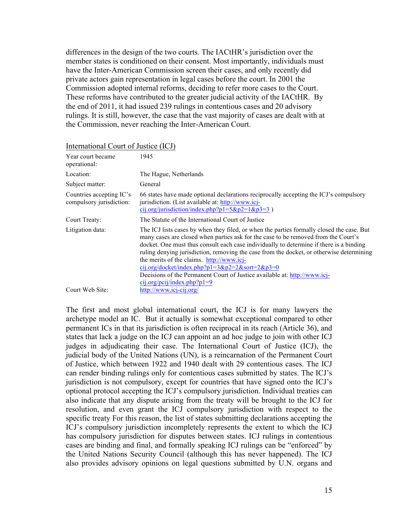differences in the design of the two courts. The IACtHR's jurisdiction over the member states is conditioned on their consent. Most importantly, individuals must have the Inter-American Commission screen their cases, and only recently did private actors gain representation in legal cases before the court. In 2001 the Commission adopted internal reforms, deciding to refer more cases to the Court. These reforms have contributed to the greater judicial activity of the IACtHR. By the end of 2011, it had issued 239 rulings in contentious cases and 20 advisory rulings. It is still, however, the case that the vast majority of cases are dealt with at the Commission, never reaching the Inter-American Court.

| International Court of Justice (ICJ)                 |                                                                                                                                                                                                                                                                                                                                                                                                                                                                                                                                                                                     |
|------------------------------------------------------|-------------------------------------------------------------------------------------------------------------------------------------------------------------------------------------------------------------------------------------------------------------------------------------------------------------------------------------------------------------------------------------------------------------------------------------------------------------------------------------------------------------------------------------------------------------------------------------|
| Year court became<br>operational:                    | 1945                                                                                                                                                                                                                                                                                                                                                                                                                                                                                                                                                                                |
| Location:                                            | The Hague, Netherlands                                                                                                                                                                                                                                                                                                                                                                                                                                                                                                                                                              |
| Subject matter:                                      | General                                                                                                                                                                                                                                                                                                                                                                                                                                                                                                                                                                             |
| Countries accepting IC's<br>compulsory jurisdiction: | 66 states have made optional declarations reciprocally accepting the ICJ's compulsory<br>jurisdiction. (List available at: http://www.icj-<br>cij.org/jurisdiction/index.php?p1=5&p2=1&p3=3)                                                                                                                                                                                                                                                                                                                                                                                        |
| Court Treaty:                                        | The Statute of the International Court of Justice                                                                                                                                                                                                                                                                                                                                                                                                                                                                                                                                   |
| Litigation data:                                     | The ICJ lists cases by when they filed, or when the parties formally closed the case. But<br>many cases are closed when parties ask for the case to be removed from the Court's<br>docket. One must thus consult each case individually to determine if there is a binding<br>ruling denying jurisdiction, removing the case from the docket, or otherwise determining<br>the merits of the claims. http://www.icj-<br>cij.org/docket/index.php?p1=3&p2=2&sort=2&p3=0<br>Decisions of the Permanent Court of Justice available at: http://www.icj-<br>$cij.org/pcij/index.php?p1=9$ |
| Court Web Site:                                      | http://www.icj-cij.org/                                                                                                                                                                                                                                                                                                                                                                                                                                                                                                                                                             |

International Court of Justice (ICJ)

The first and most global international court, the ICJ is for many lawyers the archetype model an IC. But it actually is somewhat exceptional compared to other permanent ICs in that its jurisdiction is often reciprocal in its reach (Article 36), and states that lack a judge on the ICJ can appoint an ad hoc judge to join with other ICJ judges in adjudicating their case. The International Court of Justice (ICJ), the judicial body of the United Nations (UN), is a reincarnation of the Permanent Court of Justice, which between 1922 and 1940 dealt with 29 contentious cases. The ICJ can render binding rulings only for contentious cases submitted by states. The ICJ's jurisdiction is not compulsory, except for countries that have signed onto the ICJ's optional protocol accepting the ICJ's compulsory jurisdiction. Individual treaties can also indicate that any dispute arising from the treaty will be brought to the ICJ for resolution, and even grant the ICJ compulsory jurisdiction with respect to the specific treaty For this reason, the list of states submitting declarations accepting the ICJ's compulsory jurisdiction incompletely represents the extent to which the ICJ has compulsory jurisdiction for disputes between states. ICJ rulings in contentious cases are binding and final, and formally speaking ICJ rulings can be "enforced" by the United Nations Security Council (although this has never happened). The ICJ also provides advisory opinions on legal questions submitted by U.N. organs and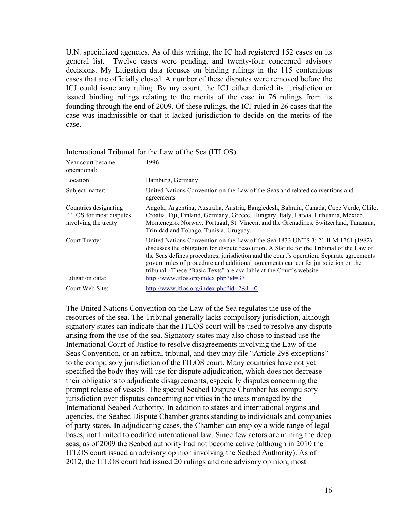U.N. specialized agencies. As of this writing, the IC had registered 152 cases on its general list. Twelve cases were pending, and twenty-four concerned advisory decisions. My Litigation data focuses on binding rulings in the 115 contentious cases that are officially closed. A number of these disputes were removed before the ICJ could issue any ruling. By my count, the ICJ either denied its jurisdiction or issued binding rulings relating to the merits of the case in 76 rulings from its founding through the end of 2009. Of these rulings, the ICJ ruled in 26 cases that the case was inadmissible or that it lacked jurisdiction to decide on the merits of the case.

|                                                                           | $\frac{1}{111}$                                                                                                                                                                                                                                                                                                                                                                                                                       |
|---------------------------------------------------------------------------|---------------------------------------------------------------------------------------------------------------------------------------------------------------------------------------------------------------------------------------------------------------------------------------------------------------------------------------------------------------------------------------------------------------------------------------|
| Year court became<br>operational:                                         | 1996                                                                                                                                                                                                                                                                                                                                                                                                                                  |
| Location:                                                                 | Hamburg, Germany                                                                                                                                                                                                                                                                                                                                                                                                                      |
| Subject matter:                                                           | United Nations Convention on the Law of the Seas and related conventions and<br>agreements                                                                                                                                                                                                                                                                                                                                            |
| Countries designating<br>ITLOS for most disputes<br>involving the treaty: | Angola, Argentina, Australia, Austria, Bangledesh, Bahrain, Canada, Cape Verde, Chile,<br>Croatia, Fiji, Finland, Germany, Greece, Hungary, Italy, Latvia, Lithuania, Mexico,<br>Montenegro, Norway, Portugal, St. Vincent and the Grenadines, Switzerland, Tanzania,<br>Trinidad and Tobago, Tunisia, Uruguay.                                                                                                                       |
| Court Treaty:                                                             | United Nations Convention on the Law of the Sea 1833 UNTS 3; 21 ILM 1261 (1982)<br>discusses the obligation for dispute resolution. A Statute for the Tribunal of the Law of<br>the Seas defines procedures, jurisdiction and the court's operation. Separate agreements<br>govern rules of procedure and additional agreements can confer jurisdiction on the<br>tribunal. These "Basic Texts" are available at the Court's website. |
| Litigation data:                                                          | http://www.itlos.org/index.php?id=37                                                                                                                                                                                                                                                                                                                                                                                                  |
| Court Web Site:                                                           | http://www.itlos.org/index.php?id= $2&E=0$                                                                                                                                                                                                                                                                                                                                                                                            |

### International Tribunal for the Law of the Sea (ITLOS)

The United Nations Convention on the Law of the Sea regulates the use of the resources of the sea. The Tribunal generally lacks compulsory jurisdiction, although signatory states can indicate that the ITLOS court will be used to resolve any dispute arising from the use of the sea. Signatory states may also chose to instead use the International Court of Justice to resolve disagreements involving the Law of the Seas Convention, or an arbitral tribunal, and they may file "Article 298 exceptions" to the compulsory jurisdiction of the ITLOS court. Many countries have not yet specified the body they will use for dispute adjudication, which does not decrease their obligations to adjudicate disagreements, especially disputes concerning the prompt release of vessels. The special Seabed Dispute Chamber has compulsory jurisdiction over disputes concerning activities in the areas managed by the International Seabed Authority. In addition to states and international organs and agencies, the Seabed Dispute Chamber grants standing to individuals and companies of party states. In adjudicating cases, the Chamber can employ a wide range of legal bases, not limited to codified international law. Since few actors are mining the deep seas, as of 2009 the Seabed authority had not become active (although in 2010 the ITLOS court issued an advisory opinion involving the Seabed Authority). As of 2012, the ITLOS court had issued 20 rulings and one advisory opinion, most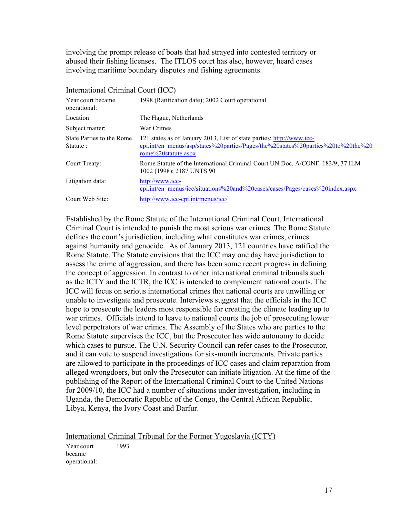involving the prompt release of boats that had strayed into contested territory or abused their fishing licenses. The ITLOS court has also, however, heard cases involving maritime boundary disputes and fishing agreements.

International Criminal Court (ICC)

| Year court became<br>operational:     | 1998 (Ratification date); 2002 Court operational.                                                                                                                                |
|---------------------------------------|----------------------------------------------------------------------------------------------------------------------------------------------------------------------------------|
| Location:                             | The Hague, Netherlands                                                                                                                                                           |
| Subject matter:                       | War Crimes                                                                                                                                                                       |
| State Parties to the Rome<br>Statute: | 121 states as of January 2013, List of state parties: http://www.icc-<br>cpi.int/en_menus/asp/states%20parties/Pages/the%20states%20parties%20to%20the%20<br>rome%20statute.aspx |
| Court Treaty:                         | Rome Statute of the International Criminal Court UN Doc. A/CONF. 183/9; 37 ILM<br>1002 (1998); 2187 UNTS 90                                                                      |
| Litigation data:                      | http://www.icc-<br>cpi.int/en menus/icc/situations%20and%20cases/cases/Pages/cases%20index.aspx                                                                                  |
| Court Web Site:                       | http://www.icc-cpi.int/menus/icc/                                                                                                                                                |

Established by the Rome Statute of the International Criminal Court, International Criminal Court is intended to punish the most serious war crimes. The Rome Statute defines the court's jurisdiction, including what constitutes war crimes, crimes against humanity and genocide. As of January 2013, 121 countries have ratified the Rome Statute. The Statute envisions that the ICC may one day have jurisdiction to assess the crime of aggression, and there has been some recent progress in defining the concept of aggression. In contrast to other international criminal tribunals such as the ICTY and the ICTR, the ICC is intended to complement national courts. The ICC will focus on serious international crimes that national courts are unwilling or unable to investigate and prosecute. Interviews suggest that the officials in the ICC hope to prosecute the leaders most responsible for creating the climate leading up to war crimes. Officials intend to leave to national courts the job of prosecuting lower level perpetrators of war crimes. The Assembly of the States who are parties to the Rome Statute supervises the ICC, but the Prosecutor has wide autonomy to decide which cases to pursue. The U.N. Security Council can refer cases to the Prosecutor, and it can vote to suspend investigations for six-month increments. Private parties are allowed to participate in the proceedings of ICC cases and claim reparation from alleged wrongdoers, but only the Prosecutor can initiate litigation. At the time of the publishing of the Report of the International Criminal Court to the United Nations for 2009/10, the ICC had a number of situations under investigation, including in Uganda, the Democratic Republic of the Congo, the Central African Republic, Libya, Kenya, the Ivory Coast and Darfur.

International Criminal Tribunal for the Former Yugoslavia (ICTY)

Year court became operational:

1993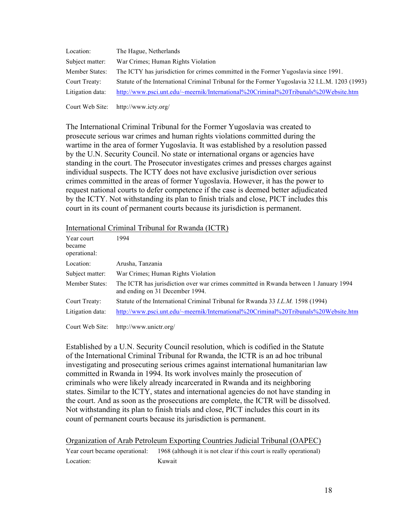| Location:        | The Hague, Netherlands                                                                         |
|------------------|------------------------------------------------------------------------------------------------|
| Subject matter:  | War Crimes; Human Rights Violation                                                             |
| Member States:   | The ICTY has jurisdiction for crimes committed in the Former Yugoslavia since 1991.            |
| Court Treaty:    | Statute of the International Criminal Tribunal for the Former Yugoslavia 32 I.L.M. 1203 (1993) |
| Litigation data: | http://www.psci.unt.edu/~meernik/International%20Criminal%20Tribunals%20Website.htm            |

Court Web Site: http://www.icty.org/

The International Criminal Tribunal for the Former Yugoslavia was created to prosecute serious war crimes and human rights violations committed during the wartime in the area of former Yugoslavia. It was established by a resolution passed by the U.N. Security Council. No state or international organs or agencies have standing in the court. The Prosecutor investigates crimes and presses charges against individual suspects. The ICTY does not have exclusive jurisdiction over serious crimes committed in the areas of former Yugoslavia. However, it has the power to request national courts to defer competence if the case is deemed better adjudicated by the ICTY. Not withstanding its plan to finish trials and close, PICT includes this court in its count of permanent courts because its jurisdiction is permanent.

### International Criminal Tribunal for Rwanda (ICTR)

| Year court<br>became<br>operational: | 1994                                                                                                                    |
|--------------------------------------|-------------------------------------------------------------------------------------------------------------------------|
| Location:                            | Arusha, Tanzania                                                                                                        |
| Subject matter:                      | War Crimes: Human Rights Violation                                                                                      |
| Member States:                       | The ICTR has jurisdiction over war crimes committed in Rwanda between 1 January 1994<br>and ending on 31 December 1994. |
| Court Treaty:                        | Statute of the International Criminal Tribunal for Rwanda 33 <i>I.L.M.</i> 1598 (1994)                                  |
| Litigation data:                     | http://www.psci.unt.edu/~meernik/International%20Criminal%20Tribunals%20Website.htm                                     |
| Court Web Site:                      | http://www.unictr.org/                                                                                                  |

Established by a U.N. Security Council resolution, which is codified in the Statute of the International Criminal Tribunal for Rwanda, the ICTR is an ad hoc tribunal investigating and prosecuting serious crimes against international humanitarian law committed in Rwanda in 1994. Its work involves mainly the prosecution of criminals who were likely already incarcerated in Rwanda and its neighboring states. Similar to the ICTY, states and international agencies do not have standing in the court. And as soon as the prosecutions are complete, the ICTR will be dissolved. Not withstanding its plan to finish trials and close, PICT includes this court in its count of permanent courts because its jurisdiction is permanent.

| Organization of Arab Petroleum Exporting Countries Judicial Tribunal (OAPEC) |                                                                                                    |  |
|------------------------------------------------------------------------------|----------------------------------------------------------------------------------------------------|--|
|                                                                              | Year court became operational: 1968 (although it is not clear if this court is really operational) |  |
| Location:                                                                    | Kuwait                                                                                             |  |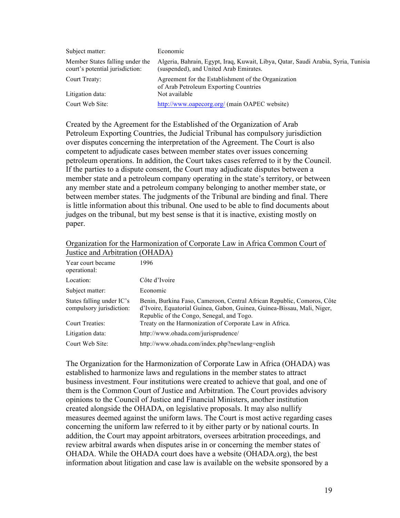| Subject matter:                                                    | Economic                                                                                                                    |
|--------------------------------------------------------------------|-----------------------------------------------------------------------------------------------------------------------------|
| Member States falling under the<br>court's potential jurisdiction: | Algeria, Bahrain, Egypt, Iraq, Kuwait, Libya, Qatar, Saudi Arabia, Syria, Tunisia<br>(suspended), and United Arab Emirates. |
| Court Treaty:                                                      | Agreement for the Establishment of the Organization<br>of Arab Petroleum Exporting Countries                                |
| Litigation data:                                                   | Not available                                                                                                               |
| Court Web Site:                                                    | http://www.oapecorg.org/ (main OAPEC website)                                                                               |

Created by the Agreement for the Established of the Organization of Arab Petroleum Exporting Countries, the Judicial Tribunal has compulsory jurisdiction over disputes concerning the interpretation of the Agreement. The Court is also competent to adjudicate cases between member states over issues concerning petroleum operations. In addition, the Court takes cases referred to it by the Council. If the parties to a dispute consent, the Court may adjudicate disputes between a member state and a petroleum company operating in the state's territory, or between any member state and a petroleum company belonging to another member state, or between member states. The judgments of the Tribunal are binding and final. There is little information about this tribunal. One used to be able to find documents about judges on the tribunal, but my best sense is that it is inactive, existing mostly on paper.

| Year court became<br>operational:                     | 1996                                                                                                                                                                                           |
|-------------------------------------------------------|------------------------------------------------------------------------------------------------------------------------------------------------------------------------------------------------|
| Location:                                             | Côte d'Ivoire                                                                                                                                                                                  |
| Subject matter:                                       | Economic                                                                                                                                                                                       |
| States falling under IC's<br>compulsory jurisdiction: | Benin, Burkina Faso, Cameroon, Central African Republic, Comoros, Côte<br>d'Ivoire, Equatorial Guinea, Gabon, Guinea, Guinea-Bissau, Mali, Niger,<br>Republic of the Congo, Senegal, and Togo. |
| Court Treaties:                                       | Treaty on the Harmonization of Corporate Law in Africa.                                                                                                                                        |
| Litigation data:                                      | http://www.ohada.com/jurisprudence/                                                                                                                                                            |
| Court Web Site:                                       | http://www.ohada.com/index.php?newlang=english                                                                                                                                                 |

#### Organization for the Harmonization of Corporate Law in Africa Common Court of Justice and Arbitration (OHADA)

The Organization for the Harmonization of Corporate Law in Africa (OHADA) was established to harmonize laws and regulations in the member states to attract business investment. Four institutions were created to achieve that goal, and one of them is the Common Court of Justice and Arbitration. The Court provides advisory opinions to the Council of Justice and Financial Ministers, another institution created alongside the OHADA, on legislative proposals. It may also nullify measures deemed against the uniform laws. The Court is most active regarding cases concerning the uniform law referred to it by either party or by national courts. In addition, the Court may appoint arbitrators, oversees arbitration proceedings, and review arbitral awards when disputes arise in or concerning the member states of OHADA. While the OHADA court does have a website (OHADA.org), the best information about litigation and case law is available on the website sponsored by a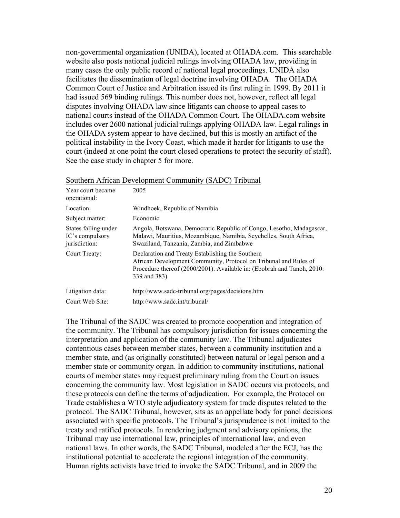non-governmental organization (UNIDA), located at OHADA.com. This searchable website also posts national judicial rulings involving OHADA law, providing in many cases the only public record of national legal proceedings. UNIDA also facilitates the dissemination of legal doctrine involving OHADA. The OHADA Common Court of Justice and Arbitration issued its first ruling in 1999. By 2011 it had issued 569 binding rulings. This number does not, however, reflect all legal disputes involving OHADA law since litigants can choose to appeal cases to national courts instead of the OHADA Common Court. The OHADA.com website includes over 2600 national judicial rulings applying OHADA law. Legal rulings in the OHADA system appear to have declined, but this is mostly an artifact of the political instability in the Ivory Coast, which made it harder for litigants to use the court (indeed at one point the court closed operations to protect the security of staff). See the case study in chapter 5 for more.

| Year court became<br>operational:                        | 2005                                                                                                                                                                                                           |
|----------------------------------------------------------|----------------------------------------------------------------------------------------------------------------------------------------------------------------------------------------------------------------|
| Location:                                                | Windhoek, Republic of Namibia                                                                                                                                                                                  |
| Subject matter:                                          | Economic                                                                                                                                                                                                       |
| States falling under<br>IC's compulsory<br>jurisdiction: | Angola, Botswana, Democratic Republic of Congo, Lesotho, Madagascar,<br>Malawi, Mauritius, Mozambique, Namibia, Seychelles, South Africa,<br>Swaziland, Tanzania, Zambia, and Zimbabwe                         |
| Court Treaty:                                            | Declaration and Treaty Establishing the Southern<br>African Development Community, Protocol on Tribunal and Rules of<br>Procedure thereof (2000/2001). Available in: (Ebobrah and Tanoh, 2010:<br>339 and 383) |
| Litigation data:                                         | http://www.sadc-tribunal.org/pages/decisions.htm                                                                                                                                                               |
| Court Web Site:                                          | http://www.sadc.int/tribunal/                                                                                                                                                                                  |

Southern African Development Community (SADC) Tribunal

The Tribunal of the SADC was created to promote cooperation and integration of the community. The Tribunal has compulsory jurisdiction for issues concerning the interpretation and application of the community law. The Tribunal adjudicates contentious cases between member states, between a community institution and a member state, and (as originally constituted) between natural or legal person and a member state or community organ. In addition to community institutions, national courts of member states may request preliminary ruling from the Court on issues concerning the community law. Most legislation in SADC occurs via protocols, and these protocols can define the terms of adjudication. For example, the Protocol on Trade establishes a WTO style adjudicatory system for trade disputes related to the protocol. The SADC Tribunal, however, sits as an appellate body for panel decisions associated with specific protocols. The Tribunal's jurisprudence is not limited to the treaty and ratified protocols. In rendering judgment and advisory opinions, the Tribunal may use international law, principles of international law, and even national laws. In other words, the SADC Tribunal, modeled after the ECJ, has the institutional potential to accelerate the regional integration of the community. Human rights activists have tried to invoke the SADC Tribunal, and in 2009 the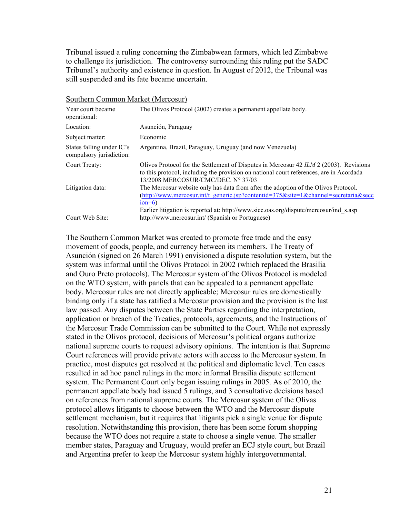Tribunal issued a ruling concerning the Zimbabwean farmers, which led Zimbabwe to challenge its jurisdiction. The controversy surrounding this ruling put the SADC Tribunal's authority and existence in question. In August of 2012, the Tribunal was still suspended and its fate became uncertain.

| Year court became<br>operational:                     | The Olivos Protocol (2002) creates a permanent appellate body.                                                                                                                                                                                                                |
|-------------------------------------------------------|-------------------------------------------------------------------------------------------------------------------------------------------------------------------------------------------------------------------------------------------------------------------------------|
| Location:                                             | Asunción, Paraguay                                                                                                                                                                                                                                                            |
| Subject matter:                                       | Economic                                                                                                                                                                                                                                                                      |
| States falling under IC's<br>compulsory jurisdiction: | Argentina, Brazil, Paraguay, Uruguay (and now Venezuela)                                                                                                                                                                                                                      |
| Court Treaty:                                         | Olivos Protocol for the Settlement of Disputes in Mercosur 42 ILM 2 (2003). Revisions<br>to this protocol, including the provision on national court references, are in Acordada<br>13/2008 MERCOSUR/CMC/DEC. N° 37/03                                                        |
| Litigation data:                                      | The Mercosur website only has data from after the adoption of the Olivos Protocol.<br>(http://www.mercosur.int/t_generic.jsp?contentid=375&site=1&channel=secretaria&secc<br>$ion=6$<br>Earlier litigation is reported at: http://www.sice.oas.org/dispute/mercosur/ind s.asp |
| Court Web Site:                                       | http://www.mercosur.int/ (Spanish or Portuguese)                                                                                                                                                                                                                              |

Southern Common Market (Mercosur)

The Southern Common Market was created to promote free trade and the easy movement of goods, people, and currency between its members. The Treaty of Asunción (signed on 26 March 1991) envisioned a dispute resolution system, but the system was informal until the Olivos Protocol in 2002 (which replaced the Brasilia and Ouro Preto protocols). The Mercosur system of the Olivos Protocol is modeled on the WTO system, with panels that can be appealed to a permanent appellate body. Mercosur rules are not directly applicable; Mercosur rules are domestically binding only if a state has ratified a Mercosur provision and the provision is the last law passed. Any disputes between the State Parties regarding the interpretation, application or breach of the Treaties, protocols, agreements, and the Instructions of the Mercosur Trade Commission can be submitted to the Court. While not expressly stated in the Olivos protocol, decisions of Mercosur's political organs authorize national supreme courts to request advisory opinions. The intention is that Supreme Court references will provide private actors with access to the Mercosur system. In practice, most disputes get resolved at the political and diplomatic level. Ten cases resulted in ad hoc panel rulings in the more informal Brasilia dispute settlement system. The Permanent Court only began issuing rulings in 2005. As of 2010, the permanent appellate body had issued 5 rulings, and 3 consultative decisions based on references from national supreme courts. The Mercosur system of the Olivas protocol allows litigants to choose between the WTO and the Mercosur dispute settlement mechanism, but it requires that litigants pick a single venue for dispute resolution. Notwithstanding this provision, there has been some forum shopping because the WTO does not require a state to choose a single venue. The smaller member states, Paraguay and Uruguay, would prefer an ECJ style court, but Brazil and Argentina prefer to keep the Mercosur system highly intergovernmental.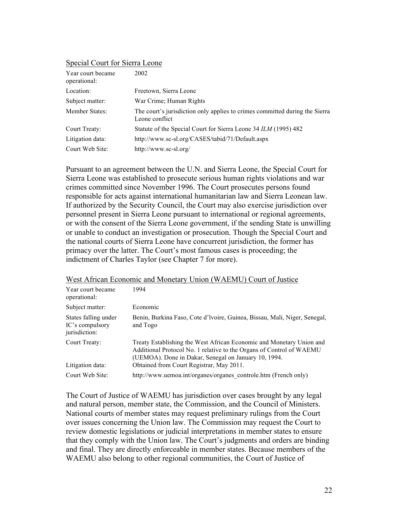# Special Court for Sierra Leone

| Year court became<br>operational: | 2002                                                                                          |
|-----------------------------------|-----------------------------------------------------------------------------------------------|
| Location:                         | Freetown, Sierra Leone                                                                        |
| Subject matter:                   | War Crime: Human Rights                                                                       |
| Member States:                    | The court's jurisdiction only applies to crimes committed during the Sierra<br>Leone conflict |
| Court Treaty:                     | Statute of the Special Court for Sierra Leone 34 ILM (1995) 482                               |
| Litigation data:                  | http://www.sc-sl.org/CASES/tabid/71/Default.aspx                                              |
| Court Web Site:                   | http://www.sc-sl.org/                                                                         |

Pursuant to an agreement between the U.N. and Sierra Leone, the Special Court for Sierra Leone was established to prosecute serious human rights violations and war crimes committed since November 1996. The Court prosecutes persons found responsible for acts against international humanitarian law and Sierra Leonean law. If authorized by the Security Council, the Court may also exercise jurisdiction over personnel present in Sierra Leone pursuant to international or regional agreements, or with the consent of the Sierra Leone government, if the sending State is unwilling or unable to conduct an investigation or prosecution. Though the Special Court and the national courts of Sierra Leone have concurrent jurisdiction, the former has primacy over the latter. The Court's most famous cases is proceeding; the indictment of Charles Taylor (see Chapter 7 for more).

| Year court became<br>operational:                        | 1994                                                                                                                                                                                                 |
|----------------------------------------------------------|------------------------------------------------------------------------------------------------------------------------------------------------------------------------------------------------------|
| Subject matter:                                          | Economic                                                                                                                                                                                             |
| States falling under<br>IC's compulsory<br>jurisdiction: | Benin, Burkina Faso, Cote d'Ivoire, Guinea, Bissau, Mali, Niger, Senegal,<br>and Togo                                                                                                                |
| Court Treaty:                                            | Treaty Establishing the West African Economic and Monetary Union and<br>Additional Protocol No. 1 relative to the Organs of Control of WAEMU<br>(UEMOA). Done in Dakar, Senegal on January 10, 1994. |
| Litigation data:                                         | Obtained from Court Registrar, May 2011.                                                                                                                                                             |
| Court Web Site:                                          | http://www.uemoa.int/organes/organes_controle.htm (French only)                                                                                                                                      |

#### West African Economic and Monetary Union (WAEMU) Court of Justice

The Court of Justice of WAEMU has jurisdiction over cases brought by any legal and natural person, member state, the Commission, and the Council of Ministers. National courts of member states may request preliminary rulings from the Court over issues concerning the Union law. The Commission may request the Court to review domestic legislations or judicial interpretations in member states to ensure that they comply with the Union law. The Court's judgments and orders are binding and final. They are directly enforceable in member states. Because members of the WAEMU also belong to other regional communities, the Court of Justice of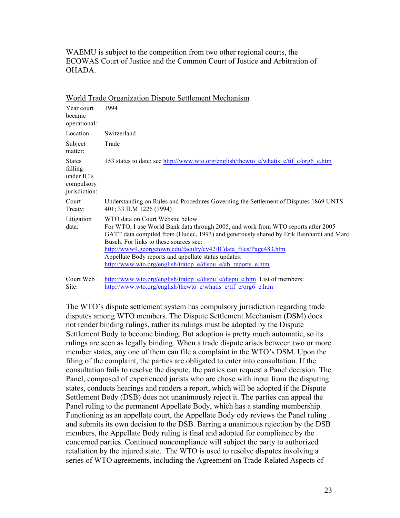WAEMU is subject to the competition from two other regional courts, the ECOWAS Court of Justice and the Common Court of Justice and Arbitration of **OHADA** 

| Year court<br>became<br>operational:                                    | 1994                                                                                                                                                                                                                                                                                                                                                                                                                                                 |
|-------------------------------------------------------------------------|------------------------------------------------------------------------------------------------------------------------------------------------------------------------------------------------------------------------------------------------------------------------------------------------------------------------------------------------------------------------------------------------------------------------------------------------------|
| Location:                                                               | Switzerland                                                                                                                                                                                                                                                                                                                                                                                                                                          |
| Subject<br>matter:                                                      | Trade                                                                                                                                                                                                                                                                                                                                                                                                                                                |
| <b>States</b><br>falling<br>under $IC's$<br>compulsory<br>jurisdiction: | 153 states to date: see http://www.wto.org/english/thewto e/whatis e/tif e/org6 e.htm                                                                                                                                                                                                                                                                                                                                                                |
| Court<br>Treaty:                                                        | Understanding on Rules and Procedures Governing the Settlement of Disputes 1869 UNTS<br>401; 33 ILM 1226 (1994)                                                                                                                                                                                                                                                                                                                                      |
| Litigation<br>data:                                                     | WTO data on Court Website below<br>For WTO, I use World Bank data through 2005, and work from WTO reports after 2005<br>GATT data compiled from (Hudec, 1993) and generously shared by Erik Reinhardt and Marc<br>Busch. For links to these sources see:<br>http://www9.georgetown.edu/faculty/ev42/ICdata files/Page483.htm<br>Appellate Body reports and appellate status updates:<br>http://www.wto.org/english/tratop_e/dispu_e/ab_reports_e.htm |
| Court Web<br>Site:                                                      | http://www.wto.org/english/tratop e/dispu e/dispu e.htm List of members:<br>http://www.wto.org/english/thewto e/whatis e/tif e/org6 e.htm                                                                                                                                                                                                                                                                                                            |

World Trade Organization Dispute Settlement Mechanism

The WTO's dispute settlement system has compulsory jurisdiction regarding trade disputes among WTO members. The Dispute Settlement Mechanism (DSM) does not render binding rulings, rather its rulings must be adopted by the Dispute Settlement Body to become binding. But adoption is pretty much automatic, so its rulings are seen as legally binding. When a trade dispute arises between two or more member states, any one of them can file a complaint in the WTO's DSM. Upon the filing of the complaint, the parties are obligated to enter into consultation. If the consultation fails to resolve the dispute, the parties can request a Panel decision. The Panel, composed of experienced jurists who are chose with input from the disputing states, conducts hearings and renders a report, which will be adopted if the Dispute Settlement Body (DSB) does not unanimously reject it. The parties can appeal the Panel ruling to the permanent Appellate Body, which has a standing membership. Functioning as an appellate court, the Appellate Body ody reviews the Panel ruling and submits its own decision to the DSB. Barring a unanimous rejection by the DSB members, the Appellate Body ruling is final and adopted for compliance by the concerned parties. Continued noncompliance will subject the party to authorized retaliation by the injured state. The WTO is used to resolve disputes involving a series of WTO agreements, including the Agreement on Trade-Related Aspects of